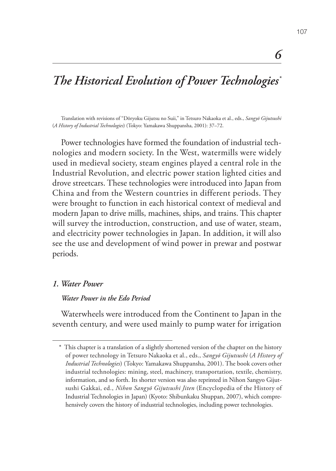# *The Historical Evolution of Power Technologies\**

Translation with revisions of "Dōryoku Gijutsu no Suii," in Tetsuro Nakaoka et al., eds., *Sangyō Gijutsushi* (*A History of Industrial Technologies*) (Tokyo: Yamakawa Shuppansha, 2001): 37–72.

Power technologies have formed the foundation of industrial technologies and modern society. In the West, watermills were widely used in medieval society, steam engines played a central role in the Industrial Revolution, and electric power station lighted cities and drove streetcars. These technologies were introduced into Japan from China and from the Western countries in different periods. They were brought to function in each historical context of medieval and modern Japan to drive mills, machines, ships, and trains. This chapter will survey the introduction, construction, and use of water, steam, and electricity power technologies in Japan. In addition, it will also see the use and development of wind power in prewar and postwar periods.

#### *1. Water Power*

#### *Water Power in the Edo Period*

Waterwheels were introduced from the Continent to Japan in the seventh century, and were used mainly to pump water for irrigation

*6*

<sup>\*</sup> This chapter is a translation of a slightly shortened version of the chapter on the history of power technology in Tetsuro Nakaoka et al., eds., *Sangyō Gijutsushi* (*A History of Industrial Technologies*) (Tokyo: Yamakawa Shuppansha, 2001). The book covers other industrial technologies: mining, steel, machinery, transportation, textile, chemistry, information, and so forth. Its shorter version was also reprinted in Nihon Sangyo Gijutsushi Gakkai, ed., *Nihon Sangyō Gijutsushi Jiten* (Encyclopedia of the History of Industrial Technologies in Japan) (Kyoto: Shibunkaku Shuppan, 2007), which comprehensively covers the history of industrial technologies, including power technologies.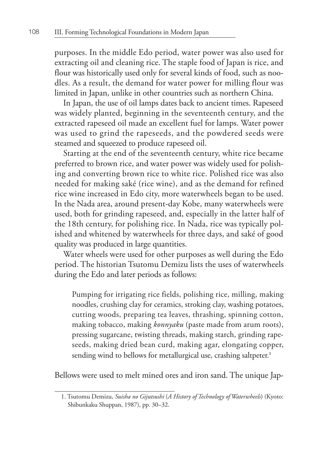purposes. In the middle Edo period, water power was also used for extracting oil and cleaning rice. The staple food of Japan is rice, and flour was historically used only for several kinds of food, such as noodles. As a result, the demand for water power for milling flour was limited in Japan, unlike in other countries such as northern China.

In Japan, the use of oil lamps dates back to ancient times. Rapeseed was widely planted, beginning in the seventeenth century, and the extracted rapeseed oil made an excellent fuel for lamps. Water power was used to grind the rapeseeds, and the powdered seeds were steamed and squeezed to produce rapeseed oil.

Starting at the end of the seventeenth century, white rice became preferred to brown rice, and water power was widely used for polishing and converting brown rice to white rice. Polished rice was also needed for making saké (rice wine), and as the demand for refined rice wine increased in Edo city, more waterwheels began to be used. In the Nada area, around present-day Kobe, many waterwheels were used, both for grinding rapeseed, and, especially in the latter half of the 18th century, for polishing rice. In Nada, rice was typically polished and whitened by waterwheels for three days, and saké of good quality was produced in large quantities.

Water wheels were used for other purposes as well during the Edo period. The historian Tsutomu Demizu lists the uses of waterwheels during the Edo and later periods as follows:

Pumping for irrigating rice fields, polishing rice, milling, making noodles, crushing clay for ceramics, stroking clay, washing potatoes, cutting woods, preparing tea leaves, thrashing, spinning cotton, making tobacco, making *konnyaku* (paste made from arum roots), pressing sugarcane, twisting threads, making starch, grinding rapeseeds, making dried bean curd, making agar, elongating copper, sending wind to bellows for metallurgical use, crashing saltpeter.**<sup>1</sup>**

Bellows were used to melt mined ores and iron sand. The unique Jap-

<sup>1.</sup> Tsutomu Demizu, *Suisha no Gijutsushi* (*A History of Technology of Waterwheels*) (Kyoto: Shibunkaku Shuppan, 1987), pp. 30–32.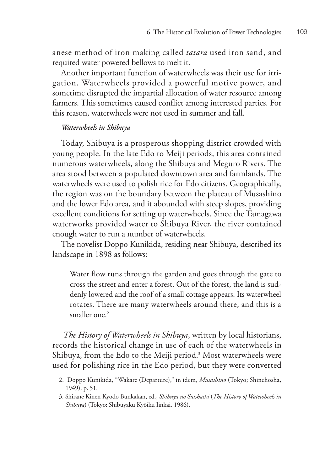anese method of iron making called *tatara* used iron sand, and required water powered bellows to melt it.

Another important function of waterwheels was their use for irrigation. Waterwheels provided a powerful motive power, and sometime disrupted the impartial allocation of water resource among farmers. This sometimes caused conflict among interested parties. For this reason, waterwheels were not used in summer and fall.

#### *Waterwheels in Shibuya*

Today, Shibuya is a prosperous shopping district crowded with young people. In the late Edo to Meiji periods, this area contained numerous waterwheels, along the Shibuya and Meguro Rivers. The area stood between a populated downtown area and farmlands. The waterwheels were used to polish rice for Edo citizens. Geographically, the region was on the boundary between the plateau of Musashino and the lower Edo area, and it abounded with steep slopes, providing excellent conditions for setting up waterwheels. Since the Tamagawa waterworks provided water to Shibuya River, the river contained enough water to run a number of waterwheels.

The novelist Doppo Kunikida, residing near Shibuya, described its landscape in 1898 as follows:

Water flow runs through the garden and goes through the gate to cross the street and enter a forest. Out of the forest, the land is suddenly lowered and the roof of a small cottage appears. Its waterwheel rotates. There are many waterwheels around there, and this is a smaller one.**<sup>2</sup>**

*The History of Waterwheels in Shibuya*, written by local historians, records the historical change in use of each of the waterwheels in Shibuya, from the Edo to the Meiji period.**<sup>3</sup>** Most waterwheels were used for polishing rice in the Edo period, but they were converted

<sup>2.</sup> Doppo Kunikida, "Wakare (Departure)," in idem, *Musashino* (Tokyo; Shinchosha, 1949), p. 51.

<sup>3.</sup> Shirane Kinen Kyōdo Bunkakan, ed., *Shibuya no Suishashi* (*The History of Watewheels in Shibuya*) (Tokyo: Shibuyaku Kyōiku Iinkai, 1986).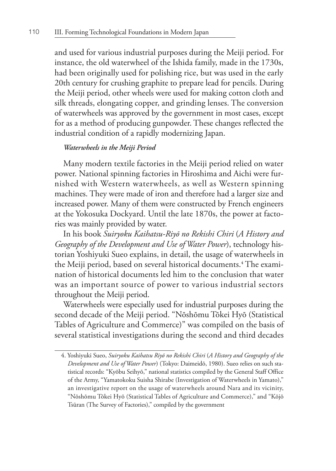and used for various industrial purposes during the Meiji period. For instance, the old waterwheel of the Ishida family, made in the 1730s, had been originally used for polishing rice, but was used in the early 20th century for crushing graphite to prepare lead for pencils. During the Meiji period, other wheels were used for making cotton cloth and silk threads, elongating copper, and grinding lenses. The conversion of waterwheels was approved by the government in most cases, except for as a method of producing gunpowder. These changes reflected the industrial condition of a rapidly modernizing Japan.

## *Waterwheels in the Meiji Period*

Many modern textile factories in the Meiji period relied on water power. National spinning factories in Hiroshima and Aichi were furnished with Western waterwheels, as well as Western spinning machines. They were made of iron and therefore had a larger size and increased power. Many of them were constructed by French engineers at the Yokosuka Dockyard. Until the late 1870s, the power at factories was mainly provided by water.

In his book *Suiryoku Kaihatsu-Riyō no Rekishi Chiri* (*A History and Geography of the Development and Use of Water Power*), technology historian Yoshiyuki Sueo explains, in detail, the usage of waterwheels in the Meiji period, based on several historical documents.**<sup>4</sup>** The examination of historical documents led him to the conclusion that water was an important source of power to various industrial sectors throughout the Meiji period.

Waterwheels were especially used for industrial purposes during the second decade of the Meiji period. "Nōshōmu Tōkei Hyō (Statistical Tables of Agriculture and Commerce)" was compiled on the basis of several statistical investigations during the second and third decades

<sup>4.</sup> Yoshiyuki Sueo, *Suiryoku Kaihatsu Riyō no Rekishi Chiri* (*A History and Geography of the Development and Use of Water Power*) (Tokyo: Daimeidō, 1980). Sueo relies on such statistical records: "Kyōbu Seihyō," national statistics compiled by the General Staff Office of the Army, "Yamatokoku Suisha Shirabe (Investigation of Waterwheels in Yamato)," an investigative report on the usage of waterwheels around Nara and its vicinity, "Nōshōmu Tōkei Hyō (Statistical Tables of Agriculture and Commerce)," and "Kōjō Tsūran (The Survey of Factories)," compiled by the government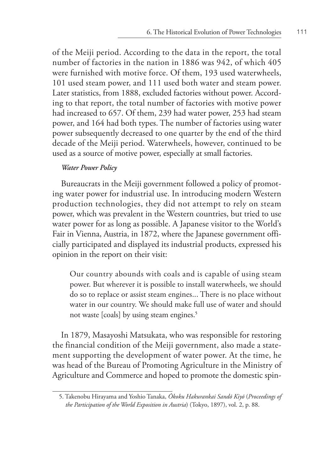of the Meiji period. According to the data in the report, the total number of factories in the nation in 1886 was 942, of which 405 were furnished with motive force. Of them, 193 used waterwheels, 101 used steam power, and 111 used both water and steam power. Later statistics, from 1888, excluded factories without power. According to that report, the total number of factories with motive power had increased to 657. Of them, 239 had water power, 253 had steam power, and 164 had both types. The number of factories using water power subsequently decreased to one quarter by the end of the third decade of the Meiji period. Waterwheels, however, continued to be used as a source of motive power, especially at small factories.

#### *Water Power Policy*

Bureaucrats in the Meiji government followed a policy of promoting water power for industrial use. In introducing modern Western production technologies, they did not attempt to rely on steam power, which was prevalent in the Western countries, but tried to use water power for as long as possible. A Japanese visitor to the World's Fair in Vienna, Austria, in 1872, where the Japanese government officially participated and displayed its industrial products, expressed his opinion in the report on their visit:

Our country abounds with coals and is capable of using steam power. But wherever it is possible to install waterwheels, we should do so to replace or assist steam engines... There is no place without water in our country. We should make full use of water and should not waste [coals] by using steam engines.**<sup>5</sup>**

In 1879, Masayoshi Matsukata, who was responsible for restoring the financial condition of the Meiji government, also made a statement supporting the development of water power. At the time, he was head of the Bureau of Promoting Agriculture in the Ministry of Agriculture and Commerce and hoped to promote the domestic spin-

<sup>5.</sup> Takenobu Hirayama and Yoshio Tanaka, *Ōkoku Hakurankai Sandō Kiyō* (*Proceedings of the Participation of the World Exposition in Austria*) (Tokyo, 1897), vol. 2, p. 88.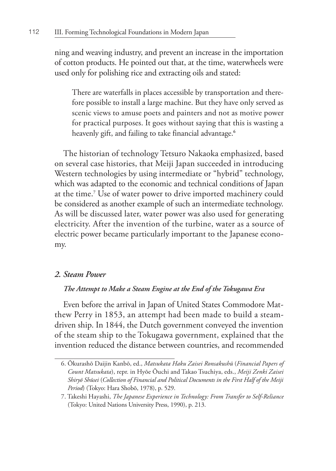ning and weaving industry, and prevent an increase in the importation of cotton products. He pointed out that, at the time, waterwheels were used only for polishing rice and extracting oils and stated:

There are waterfalls in places accessible by transportation and therefore possible to install a large machine. But they have only served as scenic views to amuse poets and painters and not as motive power for practical purposes. It goes without saying that this is wasting a heavenly gift, and failing to take financial advantage.**<sup>6</sup>**

The historian of technology Tetsuro Nakaoka emphasized, based on several case histories, that Meiji Japan succeeded in introducing Western technologies by using intermediate or "hybrid" technology, which was adapted to the economic and technical conditions of Japan at the time.**<sup>7</sup>** Use of water power to drive imported machinery could be considered as another example of such an intermediate technology. As will be discussed later, water power was also used for generating electricity. After the invention of the turbine, water as a source of electric power became particularly important to the Japanese economy.

## *2. Steam Power*

#### *The Attempt to Make a Steam Engine at the End of the Tokugawa Era*

Even before the arrival in Japan of United States Commodore Matthew Perry in 1853, an attempt had been made to build a steamdriven ship. In 1844, the Dutch government conveyed the invention of the steam ship to the Tokugawa government, explained that the invention reduced the distance between countries, and recommended

<sup>6.</sup> Ōkurashō Daijin Kanbō, ed., *Matsukata Haku Zaisei Ronsakushū* (*Financial Papers of Count Matsukata*), repr. in Hyōe Ōuchi and Takao Tsuchiya, eds., *Meiji Zenki Zaisei Shiryō Shūsei* (*Collection of Financial and Political Documents in the First Half of the Meiji Period*) (Tokyo: Hara Shobō, 1978), p. 529.

<sup>7.</sup> Takeshi Hayashi, *The Japanese Experience in Technology: From Transfer to Self-Reliance* (Tokyo: United Nations University Press, 1990), p. 213.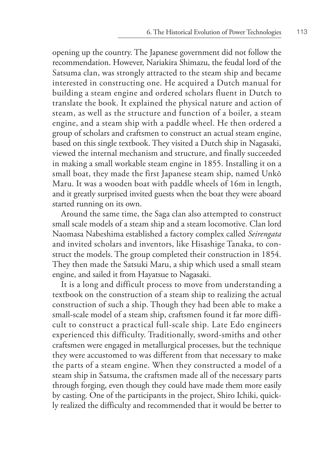opening up the country. The Japanese government did not follow the recommendation. However, Nariakira Shimazu, the feudal lord of the Satsuma clan, was strongly attracted to the steam ship and became interested in constructing one. He acquired a Dutch manual for building a steam engine and ordered scholars fluent in Dutch to translate the book. It explained the physical nature and action of steam, as well as the structure and function of a boiler, a steam engine, and a steam ship with a paddle wheel. He then ordered a group of scholars and craftsmen to construct an actual steam engine, based on this single textbook. They visited a Dutch ship in Nagasaki, viewed the internal mechanism and structure, and finally succeeded in making a small workable steam engine in 1855. Installing it on a small boat, they made the first Japanese steam ship, named Unkō Maru. It was a wooden boat with paddle wheels of 16m in length, and it greatly surprised invited guests when the boat they were aboard started running on its own.

Around the same time, the Saga clan also attempted to construct small scale models of a steam ship and a steam locomotive. Clan lord Naomasa Nabeshima established a factory complex called *Seirengata*  and invited scholars and inventors, like Hisashige Tanaka, to construct the models. The group completed their construction in 1854. They then made the Satsuki Maru, a ship which used a small steam engine, and sailed it from Hayatsue to Nagasaki.

It is a long and difficult process to move from understanding a textbook on the construction of a steam ship to realizing the actual construction of such a ship. Though they had been able to make a small-scale model of a steam ship, craftsmen found it far more difficult to construct a practical full-scale ship. Late Edo engineers experienced this difficulty. Traditionally, sword-smiths and other craftsmen were engaged in metallurgical processes, but the technique they were accustomed to was different from that necessary to make the parts of a steam engine. When they constructed a model of a steam ship in Satsuma, the craftsmen made all of the necessary parts through forging, even though they could have made them more easily by casting. One of the participants in the project, Shiro Ichiki, quickly realized the difficulty and recommended that it would be better to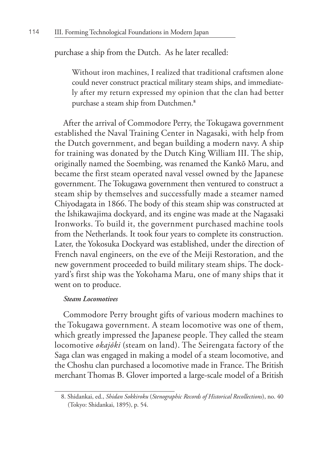purchase a ship from the Dutch. As he later recalled:

Without iron machines, I realized that traditional craftsmen alone could never construct practical military steam ships, and immediately after my return expressed my opinion that the clan had better purchase a steam ship from Dutchmen.**<sup>8</sup>**

After the arrival of Commodore Perry, the Tokugawa government established the Naval Training Center in Nagasaki, with help from the Dutch government, and began building a modern navy. A ship for training was donated by the Dutch King William III. The ship, originally named the Soembing, was renamed the Kankō Maru, and became the first steam operated naval vessel owned by the Japanese government. The Tokugawa government then ventured to construct a steam ship by themselves and successfully made a steamer named Chiyodagata in 1866. The body of this steam ship was constructed at the Ishikawajima dockyard, and its engine was made at the Nagasaki Ironworks. To build it, the government purchased machine tools from the Netherlands. It took four years to complete its construction. Later, the Yokosuka Dockyard was established, under the direction of French naval engineers, on the eve of the Meiji Restoration, and the new government proceeded to build military steam ships. The dockyard's first ship was the Yokohama Maru, one of many ships that it went on to produce.

#### *Steam Locomotives*

Commodore Perry brought gifts of various modern machines to the Tokugawa government. A steam locomotive was one of them, which greatly impressed the Japanese people. They called the steam locomotive *okajōki* (steam on land). The Seirengata factory of the Saga clan was engaged in making a model of a steam locomotive, and the Choshu clan purchased a locomotive made in France. The British merchant Thomas B. Glover imported a large-scale model of a British

<sup>8.</sup> Shidankai, ed., *Shidan Sokkiroku* (*Stenographic Records of Historical Recollections*), no. 40 (Tokyo: Shidankai, 1895), p. 54.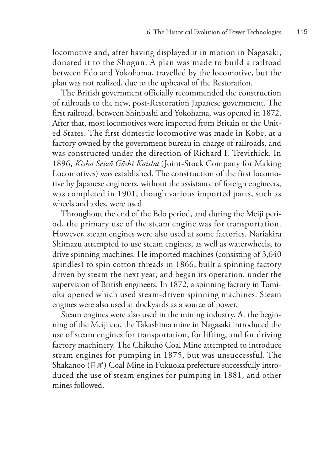locomotive and, after having displayed it in motion in Nagasaki, donated it to the Shogun. A plan was made to build a railroad between Edo and Yokohama, travelled by the locomotive, but the plan was not realized, due to the upheaval of the Restoration.

The British government officially recommended the construction of railroads to the new, post-Restoration Japanese government. The first railroad, between Shinbashi and Yokohama, was opened in 1872. After that, most locomotives were imported from Britain or the United States. The first domestic locomotive was made in Kobe, at a factory owned by the government bureau in charge of railroads, and was constructed under the direction of Richard F. Trevithick. In 1896, *Kisha Seizō Gōshi Kaisha* (Joint-Stock Company for Making Locomotives) was established. The construction of the first locomotive by Japanese engineers, without the assistance of foreign engineers, was completed in 1901, though various imported parts, such as wheels and axles, were used.

Throughout the end of the Edo period, and during the Meiji period, the primary use of the steam engine was for transportation. However, steam engines were also used at some factories. Nariakira Shimazu attempted to use steam engines, as well as waterwheels, to drive spinning machines. He imported machines (consisting of 3,640 spindles) to spin cotton threads in 1866, built a spinning factory driven by steam the next year, and began its operation, under the supervision of British engineers. In 1872, a spinning factory in Tomioka opened which used steam-driven spinning machines. Steam engines were also used at dockyards as a source of power.

Steam engines were also used in the mining industry. At the beginning of the Meiji era, the Takashima mine in Nagasaki introduced the use of steam engines for transportation, for lifting, and for driving factory machinery. The Chikuhō Coal Mine attempted to introduce steam engines for pumping in 1875, but was unsuccessful. The Shakanoo (目尾) Coal Mine in Fukuoka prefecture successfully introduced the use of steam engines for pumping in 1881, and other mines followed.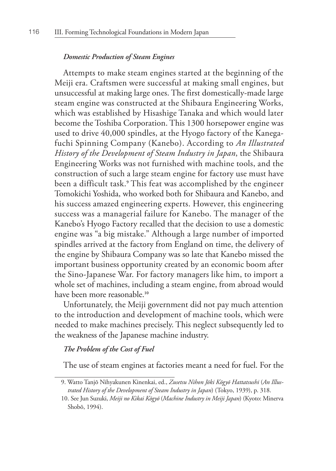#### *Domestic Production of Steam Engines*

Attempts to make steam engines started at the beginning of the Meiji era. Craftsmen were successful at making small engines, but unsuccessful at making large ones. The first domestically-made large steam engine was constructed at the Shibaura Engineering Works, which was established by Hisashige Tanaka and which would later become the Toshiba Corporation. This 1300 horsepower engine was used to drive 40,000 spindles, at the Hyogo factory of the Kanegafuchi Spinning Company (Kanebo). According to *An Illustrated History of the Development of Steam Industry in Japan*, the Shibaura Engineering Works was not furnished with machine tools, and the construction of such a large steam engine for factory use must have been a difficult task.**<sup>9</sup>** This feat was accomplished by the engineer Tomokichi Yoshida, who worked both for Shibaura and Kanebo, and his success amazed engineering experts. However, this engineering success was a managerial failure for Kanebo. The manager of the Kanebo's Hyogo Factory recalled that the decision to use a domestic engine was "a big mistake." Although a large number of imported spindles arrived at the factory from England on time, the delivery of the engine by Shibaura Company was so late that Kanebo missed the important business opportunity created by an economic boom after the Sino-Japanese War. For factory managers like him, to import a whole set of machines, including a steam engine, from abroad would have been more reasonable.**<sup>10</sup>**

Unfortunately, the Meiji government did not pay much attention to the introduction and development of machine tools, which were needed to make machines precisely. This neglect subsequently led to the weakness of the Japanese machine industry.

## *The Problem of the Cost of Fuel*

The use of steam engines at factories meant a need for fuel. For the

<sup>9.</sup> Watto Tanjō Nihyakunen Kinenkai, ed., *Zusetsu Nihon Jōki Kōgyō Hattatsushi* (*An Illustrated History of the Development of Steam Industry in Japan*) (Tokyo, 1939), p. 318.

<sup>10.</sup> See Jun Suzuki, *Meiji no Kikai Kōgyō* (*Machine Industry in Meiji Japan*) (Kyoto: Minerva Shobō, 1994).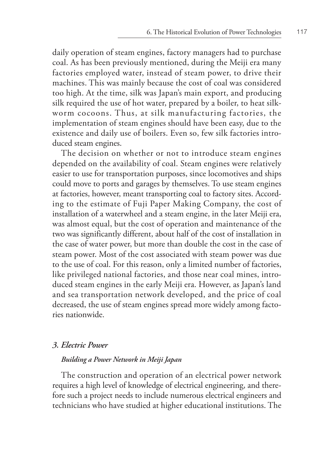daily operation of steam engines, factory managers had to purchase coal. As has been previously mentioned, during the Meiji era many factories employed water, instead of steam power, to drive their machines. This was mainly because the cost of coal was considered too high. At the time, silk was Japan's main export, and producing silk required the use of hot water, prepared by a boiler, to heat silkworm cocoons. Thus, at silk manufacturing factories, the implementation of steam engines should have been easy, due to the existence and daily use of boilers. Even so, few silk factories introduced steam engines.

The decision on whether or not to introduce steam engines depended on the availability of coal. Steam engines were relatively easier to use for transportation purposes, since locomotives and ships could move to ports and garages by themselves. To use steam engines at factories, however, meant transporting coal to factory sites. According to the estimate of Fuji Paper Making Company, the cost of installation of a waterwheel and a steam engine, in the later Meiji era, was almost equal, but the cost of operation and maintenance of the two was significantly different, about half of the cost of installation in the case of water power, but more than double the cost in the case of steam power. Most of the cost associated with steam power was due to the use of coal. For this reason, only a limited number of factories, like privileged national factories, and those near coal mines, introduced steam engines in the early Meiji era. However, as Japan's land and sea transportation network developed, and the price of coal decreased, the use of steam engines spread more widely among factories nationwide.

## *3. Electric Power*

## *Building a Power Network in Meiji Japan*

The construction and operation of an electrical power network requires a high level of knowledge of electrical engineering, and therefore such a project needs to include numerous electrical engineers and technicians who have studied at higher educational institutions. The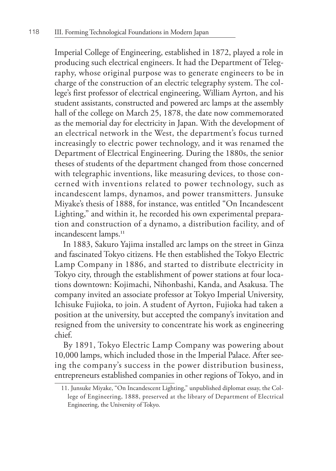Imperial College of Engineering, established in 1872, played a role in producing such electrical engineers. It had the Department of Telegraphy, whose original purpose was to generate engineers to be in charge of the construction of an electric telegraphy system. The college's first professor of electrical engineering, William Ayrton, and his student assistants, constructed and powered arc lamps at the assembly hall of the college on March 25, 1878, the date now commemorated as the memorial day for electricity in Japan. With the development of an electrical network in the West, the department's focus turned increasingly to electric power technology, and it was renamed the Department of Electrical Engineering. During the 1880s, the senior theses of students of the department changed from those concerned with telegraphic inventions, like measuring devices, to those concerned with inventions related to power technology, such as incandescent lamps, dynamos, and power transmitters. Junsuke Miyake's thesis of 1888, for instance, was entitled "On Incandescent Lighting," and within it, he recorded his own experimental preparation and construction of a dynamo, a distribution facility, and of incandescent lamps.**<sup>11</sup>**

In 1883, Sakuro Yajima installed arc lamps on the street in Ginza and fascinated Tokyo citizens. He then established the Tokyo Electric Lamp Company in 1886, and started to distribute electricity in Tokyo city, through the establishment of power stations at four locations downtown: Kojimachi, Nihonbashi, Kanda, and Asakusa. The company invited an associate professor at Tokyo Imperial University, Ichisuke Fujioka, to join. A student of Ayrton, Fujioka had taken a position at the university, but accepted the company's invitation and resigned from the university to concentrate his work as engineering chief.

By 1891, Tokyo Electric Lamp Company was powering about 10,000 lamps, which included those in the Imperial Palace. After seeing the company's success in the power distribution business, entrepreneurs established companies in other regions of Tokyo, and in

<sup>11.</sup> Junsuke Miyake, "On Incandescent Lighting," unpublished diplomat essay, the College of Engineering, 1888, preserved at the library of Department of Electrical Engineering, the University of Tokyo.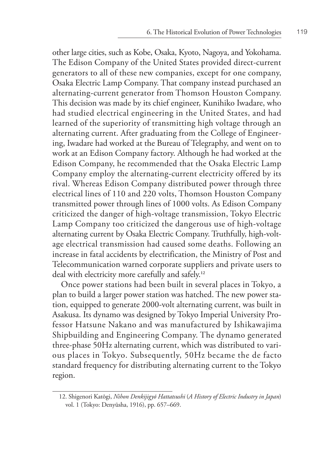other large cities, such as Kobe, Osaka, Kyoto, Nagoya, and Yokohama. The Edison Company of the United States provided direct-current generators to all of these new companies, except for one company, Osaka Electric Lamp Company. That company instead purchased an alternating-current generator from Thomson Houston Company. This decision was made by its chief engineer, Kunihiko Iwadare, who had studied electrical engineering in the United States, and had learned of the superiority of transmitting high voltage through an alternating current. After graduating from the College of Engineering, Iwadare had worked at the Bureau of Telegraphy, and went on to work at an Edison Company factory. Although he had worked at the Edison Company, he recommended that the Osaka Electric Lamp Company employ the alternating-current electricity offered by its rival. Whereas Edison Company distributed power through three electrical lines of 110 and 220 volts, Thomson Houston Company transmitted power through lines of 1000 volts. As Edison Company criticized the danger of high-voltage transmission, Tokyo Electric Lamp Company too criticized the dangerous use of high-voltage alternating current by Osaka Electric Company. Truthfully, high-voltage electrical transmission had caused some deaths. Following an increase in fatal accidents by electrification, the Ministry of Post and Telecommunication warned corporate suppliers and private users to deal with electricity more carefully and safely.**<sup>12</sup>**

Once power stations had been built in several places in Tokyo, a plan to build a larger power station was hatched. The new power station, equipped to generate 2000-volt alternating current, was built in Asakusa. Its dynamo was designed by Tokyo Imperial University Professor Hatsune Nakano and was manufactured by Ishikawajima Shipbuilding and Engineering Company. The dynamo generated three-phase 50Hz alternating current, which was distributed to various places in Tokyo. Subsequently, 50Hz became the de facto standard frequency for distributing alternating current to the Tokyo region.

<sup>12.</sup> Shigenori Katōgi, *Nihon Denkijigyō Hattatsushi* (*A History of Electric Industry in Japan*) vol. 1 (Tokyo: Denyūsha, 1916), pp. 657–669.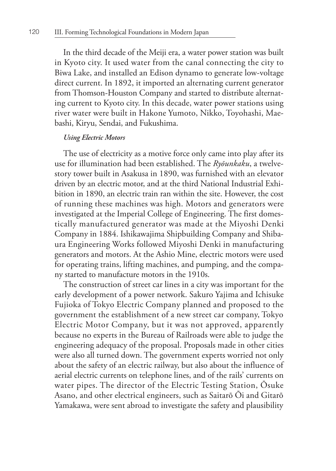In the third decade of the Meiji era, a water power station was built in Kyoto city. It used water from the canal connecting the city to Biwa Lake, and installed an Edison dynamo to generate low-voltage direct current. In 1892, it imported an alternating current generator from Thomson-Houston Company and started to distribute alternating current to Kyoto city. In this decade, water power stations using river water were built in Hakone Yumoto, Nikko, Toyohashi, Maebashi, Kiryu, Sendai, and Fukushima.

#### *Using Electric Motors*

The use of electricity as a motive force only came into play after its use for illumination had been established. The *Ryōunkaku*, a twelvestory tower built in Asakusa in 1890, was furnished with an elevator driven by an electric motor, and at the third National Industrial Exhibition in 1890, an electric train ran within the site. However, the cost of running these machines was high. Motors and generators were investigated at the Imperial College of Engineering. The first domestically manufactured generator was made at the Miyoshi Denki Company in 1884. Ishikawajima Shipbuilding Company and Shibaura Engineering Works followed Miyoshi Denki in manufacturing generators and motors. At the Ashio Mine, electric motors were used for operating trains, lifting machines, and pumping, and the company started to manufacture motors in the 1910s.

The construction of street car lines in a city was important for the early development of a power network. Sakuro Yajima and Ichisuke Fujioka of Tokyo Electric Company planned and proposed to the government the establishment of a new street car company, Tokyo Electric Motor Company, but it was not approved, apparently because no experts in the Bureau of Railroads were able to judge the engineering adequacy of the proposal. Proposals made in other cities were also all turned down. The government experts worried not only about the safety of an electric railway, but also about the influence of aerial electric currents on telephone lines, and of the rails' currents on water pipes. The director of the Electric Testing Station, Ōsuke Asano, and other electrical engineers, such as Saitarō Ōi and Gitarō Yamakawa, were sent abroad to investigate the safety and plausibility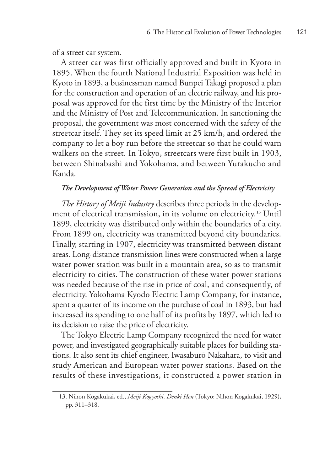of a street car system.

A street car was first officially approved and built in Kyoto in 1895. When the fourth National Industrial Exposition was held in Kyoto in 1893, a businessman named Bunpei Takagi proposed a plan for the construction and operation of an electric railway, and his proposal was approved for the first time by the Ministry of the Interior and the Ministry of Post and Telecommunication. In sanctioning the proposal, the government was most concerned with the safety of the streetcar itself. They set its speed limit at 25 km/h, and ordered the company to let a boy run before the streetcar so that he could warn walkers on the street. In Tokyo, streetcars were first built in 1903, between Shinabashi and Yokohama, and between Yurakucho and Kanda.

# *The Development of Water Power Generation and the Spread of Electricity*

*The History of Meiji Industry* describes three periods in the development of electrical transmission, in its volume on electricity.**13** Until 1899, electricity was distributed only within the boundaries of a city. From 1899 on, electricity was transmitted beyond city boundaries. Finally, starting in 1907, electricity was transmitted between distant areas. Long-distance transmission lines were constructed when a large water power station was built in a mountain area, so as to transmit electricity to cities. The construction of these water power stations was needed because of the rise in price of coal, and consequently, of electricity. Yokohama Kyodo Electric Lamp Company, for instance, spent a quarter of its income on the purchase of coal in 1893, but had increased its spending to one half of its profits by 1897, which led to its decision to raise the price of electricity.

The Tokyo Electric Lamp Company recognized the need for water power, and investigated geographically suitable places for building stations. It also sent its chief engineer, Iwasaburō Nakahara, to visit and study American and European water power stations. Based on the results of these investigations, it constructed a power station in

<sup>13.</sup> Nihon Kōgakukai, ed., *Meiji Kōgyōshi, Denki Hen* (Tokyo: Nihon Kōgakukai, 1929), pp. 311–318.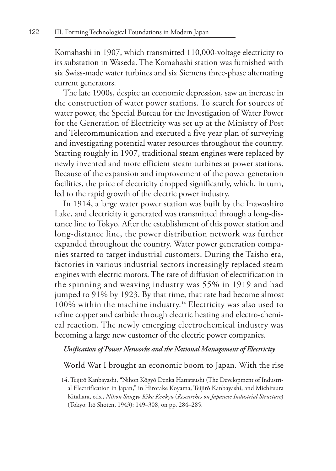Komahashi in 1907, which transmitted 110,000-voltage electricity to its substation in Waseda. The Komahashi station was furnished with six Swiss-made water turbines and six Siemens three-phase alternating current generators.

The late 1900s, despite an economic depression, saw an increase in the construction of water power stations. To search for sources of water power, the Special Bureau for the Investigation of Water Power for the Generation of Electricity was set up at the Ministry of Post and Telecommunication and executed a five year plan of surveying and investigating potential water resources throughout the country. Starting roughly in 1907, traditional steam engines were replaced by newly invented and more efficient steam turbines at power stations. Because of the expansion and improvement of the power generation facilities, the price of electricity dropped significantly, which, in turn, led to the rapid growth of the electric power industry.

In 1914, a large water power station was built by the Inawashiro Lake, and electricity it generated was transmitted through a long-distance line to Tokyo. After the establishment of this power station and long-distance line, the power distribution network was further expanded throughout the country. Water power generation companies started to target industrial customers. During the Taisho era, factories in various industrial sectors increasingly replaced steam engines with electric motors. The rate of diffusion of electrification in the spinning and weaving industry was 55% in 1919 and had jumped to 91% by 1923. By that time, that rate had become almost 100% within the machine industry.**14** Electricity was also used to refine copper and carbide through electric heating and electro-chemical reaction. The newly emerging electrochemical industry was becoming a large new customer of the electric power companies.

## *Unification of Power Networks and the National Management of Electricity*

World War I brought an economic boom to Japan. With the rise

<sup>14.</sup> Teijirō Kanbayashi, "Nihon Kōgyō Denka Hattatsushi (The Development of Industrial Electrification in Japan," in Hirotake Koyama, Teijirō Kanbayashi, and Michitsura Kitahara, eds., *Nihon Sangyō Kikō Kenkyū* (*Researches on Japanese Industrial Structure*) (Tokyo: Itō Shoten, 1943): 149–308, on pp. 284–285.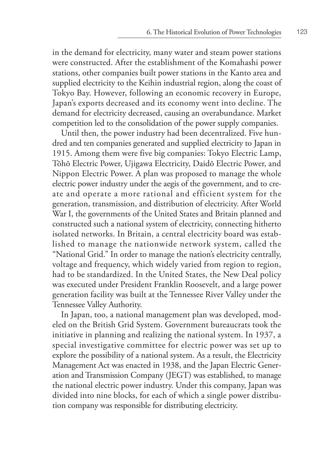in the demand for electricity, many water and steam power stations were constructed. After the establishment of the Komahashi power stations, other companies built power stations in the Kanto area and supplied electricity to the Keihin industrial region, along the coast of Tokyo Bay. However, following an economic recovery in Europe, Japan's exports decreased and its economy went into decline. The demand for electricity decreased, causing an overabundance. Market competition led to the consolidation of the power supply companies.

Until then, the power industry had been decentralized. Five hundred and ten companies generated and supplied electricity to Japan in 1915. Among them were five big companies: Tokyo Electric Lamp, Tōhō Electric Power, Ujigawa Electricity, Daidō Electric Power, and Nippon Electric Power. A plan was proposed to manage the whole electric power industry under the aegis of the government, and to create and operate a more rational and efficient system for the generation, transmission, and distribution of electricity. After World War I, the governments of the United States and Britain planned and constructed such a national system of electricity, connecting hitherto isolated networks. In Britain, a central electricity board was established to manage the nationwide network system, called the "National Grid." In order to manage the nation's electricity centrally, voltage and frequency, which widely varied from region to region, had to be standardized. In the United States, the New Deal policy was executed under President Franklin Roosevelt, and a large power generation facility was built at the Tennessee River Valley under the Tennessee Valley Authority.

In Japan, too, a national management plan was developed, modeled on the British Grid System. Government bureaucrats took the initiative in planning and realizing the national system. In 1937, a special investigative committee for electric power was set up to explore the possibility of a national system. As a result, the Electricity Management Act was enacted in 1938, and the Japan Electric Generation and Transmission Company (JEGT) was established, to manage the national electric power industry. Under this company, Japan was divided into nine blocks, for each of which a single power distribution company was responsible for distributing electricity.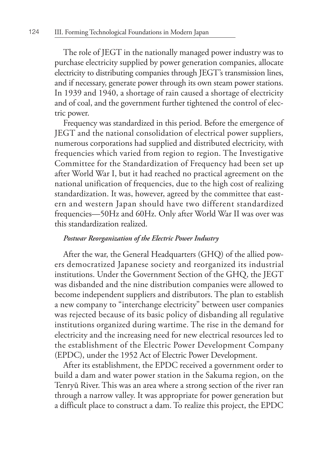The role of JEGT in the nationally managed power industry was to purchase electricity supplied by power generation companies, allocate electricity to distributing companies through JEGT's transmission lines, and if necessary, generate power through its own steam power stations. In 1939 and 1940, a shortage of rain caused a shortage of electricity and of coal, and the government further tightened the control of electric power.

Frequency was standardized in this period. Before the emergence of JEGT and the national consolidation of electrical power suppliers, numerous corporations had supplied and distributed electricity, with frequencies which varied from region to region. The Investigative Committee for the Standardization of Frequency had been set up after World War I, but it had reached no practical agreement on the national unification of frequencies, due to the high cost of realizing standardization. It was, however, agreed by the committee that eastern and western Japan should have two different standardized frequencies—50Hz and 60Hz. Only after World War II was over was this standardization realized.

## *Postwar Reorganization of the Electric Power Industry*

After the war, the General Headquarters (GHQ) of the allied powers democratized Japanese society and reorganized its industrial institutions. Under the Government Section of the GHQ, the JEGT was disbanded and the nine distribution companies were allowed to become independent suppliers and distributors. The plan to establish a new company to "interchange electricity" between user companies was rejected because of its basic policy of disbanding all regulative institutions organized during wartime. The rise in the demand for electricity and the increasing need for new electrical resources led to the establishment of the Electric Power Development Company (EPDC), under the 1952 Act of Electric Power Development.

After its establishment, the EPDC received a government order to build a dam and water power station in the Sakuma region, on the Tenryū River. This was an area where a strong section of the river ran through a narrow valley. It was appropriate for power generation but a difficult place to construct a dam. To realize this project, the EPDC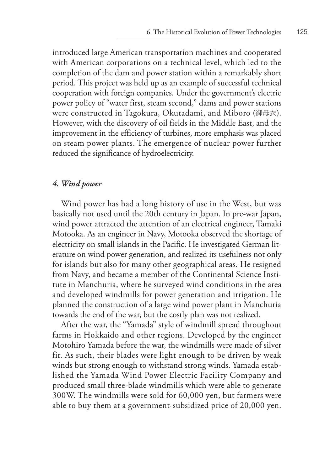introduced large American transportation machines and cooperated with American corporations on a technical level, which led to the completion of the dam and power station within a remarkably short period. This project was held up as an example of successful technical cooperation with foreign companies. Under the government's electric power policy of "water first, steam second," dams and power stations were constructed in Tagokura, Okutadami, and Miboro (御母衣). However, with the discovery of oil fields in the Middle East, and the improvement in the efficiency of turbines, more emphasis was placed on steam power plants. The emergence of nuclear power further reduced the significance of hydroelectricity.

# *4. Wind power*

Wind power has had a long history of use in the West, but was basically not used until the 20th century in Japan. In pre-war Japan, wind power attracted the attention of an electrical engineer, Tamaki Motooka. As an engineer in Navy, Motooka observed the shortage of electricity on small islands in the Pacific. He investigated German literature on wind power generation, and realized its usefulness not only for islands but also for many other geographical areas. He resigned from Navy, and became a member of the Continental Science Institute in Manchuria, where he surveyed wind conditions in the area and developed windmills for power generation and irrigation. He planned the construction of a large wind power plant in Manchuria towards the end of the war, but the costly plan was not realized.

After the war, the "Yamada" style of windmill spread throughout farms in Hokkaido and other regions. Developed by the engineer Motohiro Yamada before the war, the windmills were made of silver fir. As such, their blades were light enough to be driven by weak winds but strong enough to withstand strong winds. Yamada established the Yamada Wind Power Electric Facility Company and produced small three-blade windmills which were able to generate 300W. The windmills were sold for 60,000 yen, but farmers were able to buy them at a government-subsidized price of 20,000 yen.